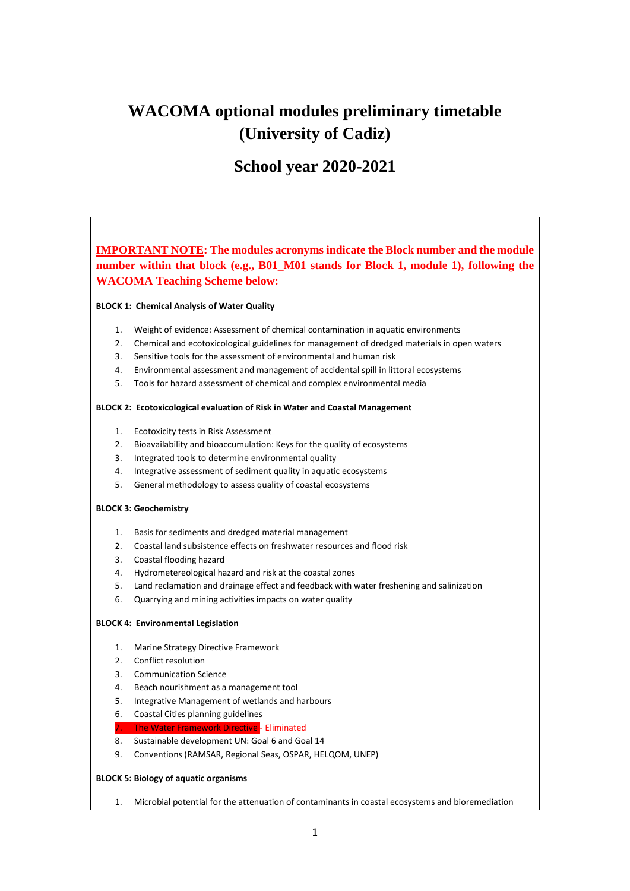# **WACOMA optional modules preliminary timetable (University of Cadiz)**

## **School year 2020-2021**

## **IMPORTANT NOTE: The modules acronyms indicate the Block number and the module number within that block (e.g., B01\_M01 stands for Block 1, module 1), following the WACOMA Teaching Scheme below:**

#### **BLOCK 1: Chemical Analysis of Water Quality**

- 1. Weight of evidence: Assessment of chemical contamination in aquatic environments
- 2. Chemical and ecotoxicological guidelines for management of dredged materials in open waters
- 3. Sensitive tools for the assessment of environmental and human risk
- 4. Environmental assessment and management of accidental spill in littoral ecosystems
- 5. Tools for hazard assessment of chemical and complex environmental media

#### **BLOCK 2: Ecotoxicological evaluation of Risk in Water and Coastal Management**

- 1. Ecotoxicity tests in Risk Assessment
- 2. Bioavailability and bioaccumulation: Keys for the quality of ecosystems
- 3. Integrated tools to determine environmental quality
- 4. Integrative assessment of sediment quality in aquatic ecosystems
- 5. General methodology to assess quality of coastal ecosystems

#### **BLOCK 3: Geochemistry**

- 1. Basis for sediments and dredged material management
- 2. Coastal land subsistence effects on freshwater resources and flood risk
- 3. Coastal flooding hazard
- 4. Hydrometereological hazard and risk at the coastal zones
- 5. Land reclamation and drainage effect and feedback with water freshening and salinization
- 6. Quarrying and mining activities impacts on water quality

#### **BLOCK 4: Environmental Legislation**

- 1. Marine Strategy Directive Framework
- 2. Conflict resolution
- 3. Communication Science
- 4. Beach nourishment as a management tool
- 5. Integrative Management of wetlands and harbours
- 6. Coastal Cities planning guidelines
- 7. The Water Framework Directive Eliminated
- 8. Sustainable development UN: Goal 6 and Goal 14
- 9. Conventions (RAMSAR, Regional Seas, OSPAR, HELQOM, UNEP)

#### **BLOCK 5: Biology of aquatic organisms**

1. Microbial potential for the attenuation of contaminants in coastal ecosystems and bioremediation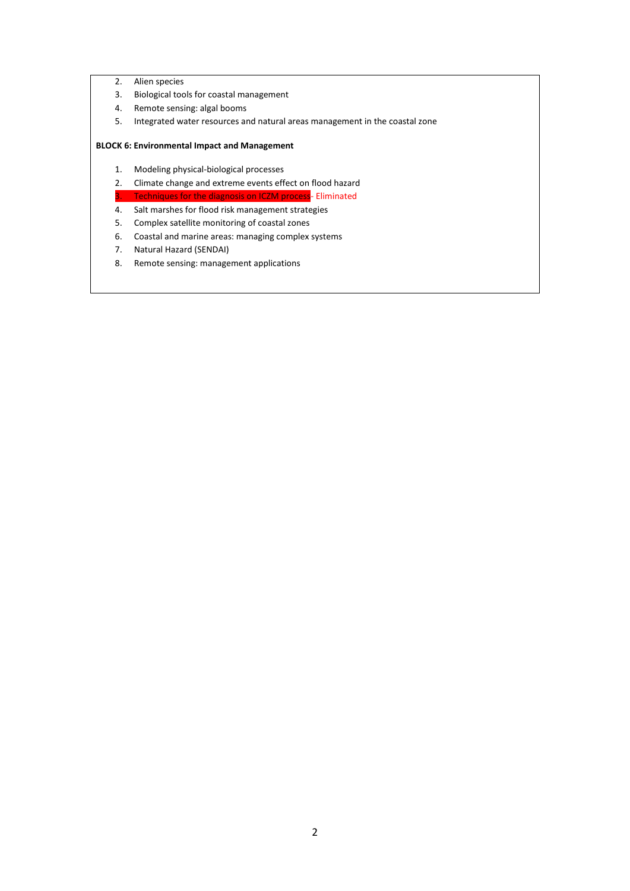- 2. Alien species
- 3. Biological tools for coastal management
- 4. Remote sensing: algal booms
- 5. Integrated water resources and natural areas management in the coastal zone

#### **BLOCK 6: Environmental Impact and Management**

- 1. Modeling physical-biological processes
- 2. Climate change and extreme events effect on flood hazard
- Techniques for the diagnosis on ICZM process- Eliminated
- 4. Salt marshes for flood risk management strategies
- 5. Complex satellite monitoring of coastal zones
- 6. Coastal and marine areas: managing complex systems
- 7. Natural Hazard (SENDAI)
- 8. Remote sensing: management applications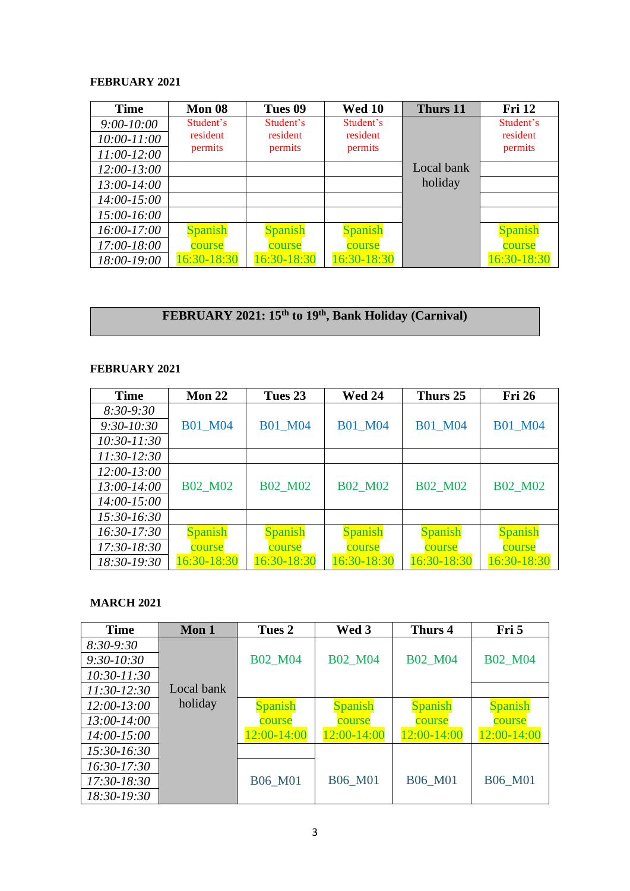#### **FEBRUARY 2021**

| <b>Time</b>     | Mon 08      | Tues 09        | <b>Wed 10</b>  | Thurs 11   | <b>Fri 12</b> |
|-----------------|-------------|----------------|----------------|------------|---------------|
| $9:00-10:00$    | Student's   | Student's      | Student's      |            | Student's     |
| $10:00 - 11:00$ | resident    | resident       | resident       |            | resident      |
| $11:00-12:00$   | permits     | permits        | permits        |            | permits       |
| $12:00 - 13:00$ |             |                |                | Local bank |               |
| $13:00-14:00$   |             |                |                | holiday    |               |
| $14:00-15:00$   |             |                |                |            |               |
| $15:00-16:00$   |             |                |                |            |               |
| $16:00-17:00$   | Spanish     | <b>Spanish</b> | <b>Spanish</b> |            | Spanish       |
| $17:00 - 18:00$ | course      | course         | course         |            | course        |
| 18:00-19:00     | 16:30-18:30 | 16:30-18:30    | 16:30-18:30    |            | 16:30-18:30   |

# **FEBRUARY 2021: 15th to 19th, Bank Holiday (Carnival)**

## **FEBRUARY 2021**

| <b>Time</b>     | Mon $22$       | Tues 23        | <b>Wed 24</b>  | Thurs 25       | <b>Fri 26</b>  |
|-----------------|----------------|----------------|----------------|----------------|----------------|
| $8:30-9:30$     |                |                |                |                |                |
| $9:30 - 10:30$  | <b>B01 M04</b> | <b>B01 M04</b> | <b>B01 M04</b> | <b>B01 M04</b> | <b>B01_M04</b> |
| $10:30 - 11:30$ |                |                |                |                |                |
| $11:30-12:30$   |                |                |                |                |                |
| $12:00 - 13:00$ |                |                |                |                |                |
| 13:00-14:00     | <b>B02 M02</b> | <b>B02 M02</b> | <b>B02 M02</b> | <b>B02 M02</b> | <b>B02 M02</b> |
| $14:00 - 15:00$ |                |                |                |                |                |
| 15:30-16:30     |                |                |                |                |                |
| 16:30-17:30     | <b>Spanish</b> | <b>Spanish</b> | <b>Spanish</b> | <b>Spanish</b> | <b>Spanish</b> |
| 17:30-18:30     | course         | course         | course         | course         | course         |
| 18:30-19:30     | 16:30-18:30    | 16:30-18:30    | 16:30-18:30    | 16:30-18:30    | 16:30-18:30    |

## **MARCH 2021**

| <b>Time</b>     | Mon 1      | Tues 2         | Wed 3          | Thurs 4        | Fri 5          |
|-----------------|------------|----------------|----------------|----------------|----------------|
| $8:30-9:30$     |            |                |                |                |                |
| $9:30-10:30$    |            | <b>B02_M04</b> | <b>B02 M04</b> | <b>B02 M04</b> | <b>B02 M04</b> |
| $10:30 - 11:30$ |            |                |                |                |                |
| $11:30-12:30$   | Local bank |                |                |                |                |
| $12:00 - 13:00$ | holiday    | <b>Spanish</b> | <b>Spanish</b> | <b>Spanish</b> | <b>Spanish</b> |
| $13:00 - 14:00$ |            | course         | course         | course         | course         |
| $14:00 - 15:00$ |            | 12:00-14:00    | 12:00-14:00    | 12:00-14:00    | 12:00-14:00    |
| 15:30-16:30     |            |                |                |                |                |
| $16:30-17:30$   |            |                |                |                |                |
| $17:30-18:30$   |            | <b>B06 M01</b> | <b>B06 M01</b> | <b>B06 M01</b> | <b>B06 M01</b> |
| 18:30-19:30     |            |                |                |                |                |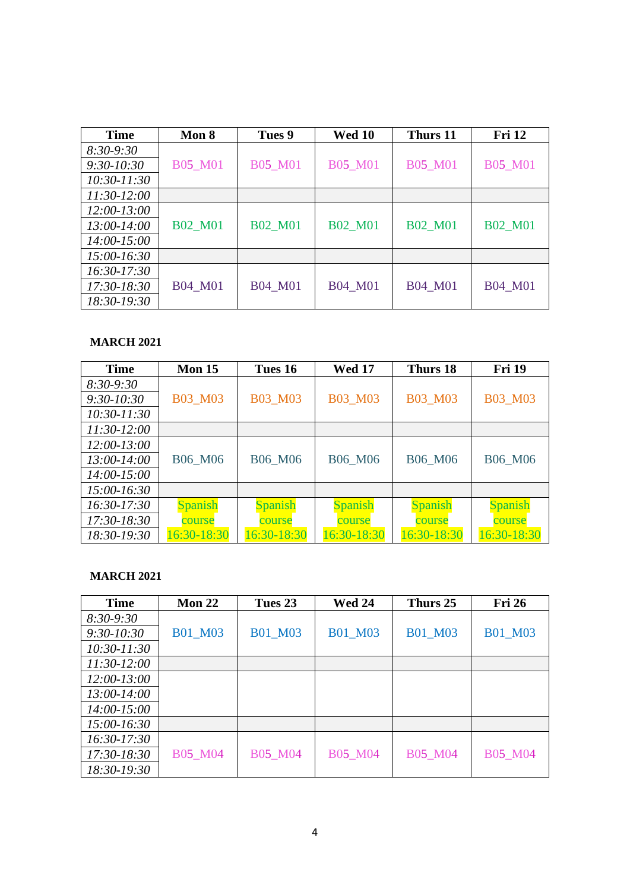| <b>Time</b>     | Mon 8          | Tues 9         | <b>Wed 10</b>  | Thurs 11       | <b>Fri 12</b>  |
|-----------------|----------------|----------------|----------------|----------------|----------------|
| $8:30-9:30$     |                |                |                |                |                |
| $9:30-10:30$    | <b>B05_M01</b> | <b>B05_M01</b> | <b>B05_M01</b> | <b>B05_M01</b> | <b>B05_M01</b> |
| $10:30 - 11:30$ |                |                |                |                |                |
| $11:30-12:00$   |                |                |                |                |                |
| $12:00 - 13:00$ |                |                |                |                |                |
| $13:00 - 14:00$ | <b>B02 M01</b> | <b>B02 M01</b> | <b>B02 M01</b> | <b>B02 M01</b> | <b>B02 M01</b> |
| 14:00-15:00     |                |                |                |                |                |
| $15:00-16:30$   |                |                |                |                |                |
| $16:30-17:30$   |                |                |                |                |                |
| $17:30-18:30$   | <b>B04 M01</b> | <b>B04 M01</b> | <b>B04 M01</b> | <b>B04 M01</b> | <b>B04 M01</b> |
| 18:30-19:30     |                |                |                |                |                |

## **MARCH 2021**

| <b>Time</b>     | Mon 15         | Tues 16        | <b>Wed 17</b>  | Thurs 18       | <b>Fri 19</b>  |
|-----------------|----------------|----------------|----------------|----------------|----------------|
| $8:30-9:30$     |                |                |                |                |                |
| $9:30-10:30$    | <b>B03 M03</b> | B03 M03        | B03 M03        | <b>B03 M03</b> | <b>B03 M03</b> |
| $10:30 - 11:30$ |                |                |                |                |                |
| $11:30-12:00$   |                |                |                |                |                |
| $12:00 - 13:00$ |                |                |                |                |                |
| $13:00 - 14:00$ | <b>B06 M06</b> | B06_M06        | <b>B06 M06</b> | <b>B06 M06</b> | B06_M06        |
| $14:00 - 15:00$ |                |                |                |                |                |
| $15:00 - 16:30$ |                |                |                |                |                |
| $16:30-17:30$   | <b>Spanish</b> | <b>Spanish</b> | <b>Spanish</b> | <b>Spanish</b> | <b>Spanish</b> |
| $17:30-18:30$   | course         | course         | course         | course         | course         |
| 18:30-19:30     | 16:30-18:30    | 16:30-18:30    | 16:30-18:30    | 16:30-18:30    | 16:30-18:30    |

#### **MARCH 2021**

| <b>Time</b>     | Mon $22$       | Tues 23        | <b>Wed 24</b>  | Thurs 25       | <b>Fri 26</b>  |
|-----------------|----------------|----------------|----------------|----------------|----------------|
| $8:30-9:30$     |                |                |                |                |                |
| $9:30 - 10:30$  | <b>B01 M03</b> | <b>B01 M03</b> | <b>B01 M03</b> | <b>B01 M03</b> | <b>B01 M03</b> |
| $10:30 - 11:30$ |                |                |                |                |                |
| $11:30-12:00$   |                |                |                |                |                |
| $12:00 - 13:00$ |                |                |                |                |                |
| 13:00-14:00     |                |                |                |                |                |
| 14:00-15:00     |                |                |                |                |                |
| $15:00-16:30$   |                |                |                |                |                |
| $16:30-17:30$   |                |                |                |                |                |
| $17:30-18:30$   | B05 M04        | <b>B05_M04</b> | <b>B05_M04</b> | B05 M04        | <b>B05 M04</b> |
| 18:30-19:30     |                |                |                |                |                |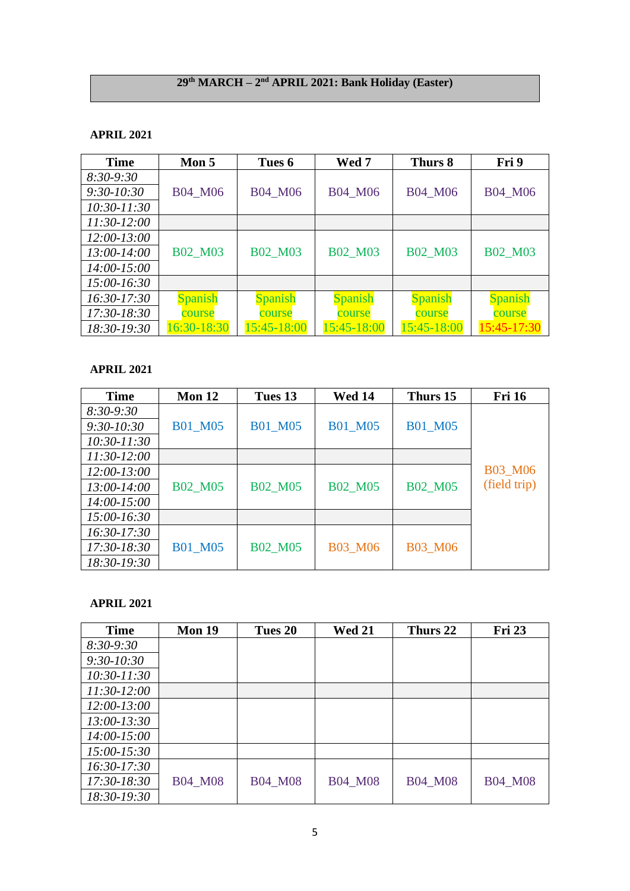#### **29th MARCH – 2 nd APRIL 2021: Bank Holiday (Easter)**

#### **APRIL 2021**

| <b>Time</b>     | Mon 5          | Tues 6         | Wed 7          | Thurs 8        | Fri 9          |
|-----------------|----------------|----------------|----------------|----------------|----------------|
| $8:30-9:30$     |                |                |                |                |                |
| $9:30-10:30$    | B04 M06        | B04_M06        | B04 M06        | B04 M06        | B04 M06        |
| $10:30 - 11:30$ |                |                |                |                |                |
| $11:30-12:00$   |                |                |                |                |                |
| $12:00 - 13:00$ |                |                |                |                |                |
| $13:00-14:00$   | B02 M03        | <b>B02 M03</b> | <b>B02 M03</b> | <b>B02 M03</b> | <b>B02 M03</b> |
| $14:00 - 15:00$ |                |                |                |                |                |
| $15:00-16:30$   |                |                |                |                |                |
| $16:30-17:30$   | <b>Spanish</b> | <b>Spanish</b> | <b>Spanish</b> | <b>Spanish</b> | <b>Spanish</b> |
| $17:30-18:30$   | course         | course         | course         | course         | course         |
| 18:30-19:30     | 16:30-18:30    | 15:45-18:00    | 15:45-18:00    | 15:45-18:00    | 15:45-17:30    |

## **APRIL 2021**

| <b>Time</b>     | Mon 12         | Tues 13        | <b>Wed 14</b>  | Thurs 15       | <b>Fri 16</b>  |
|-----------------|----------------|----------------|----------------|----------------|----------------|
| $8:30-9:30$     |                |                |                |                |                |
| $9:30-10:30$    | <b>B01 M05</b> | <b>B01_M05</b> | <b>B01 M05</b> | <b>B01 M05</b> |                |
| $10:30 - 11:30$ |                |                |                |                |                |
| $11:30-12:00$   |                |                |                |                |                |
| $12:00 - 13:00$ |                |                |                |                | <b>B03 M06</b> |
| 13:00-14:00     | <b>B02 M05</b> | <b>B02_M05</b> | <b>B02_M05</b> | <b>B02 M05</b> | (field trip)   |
| $14:00 - 15:00$ |                |                |                |                |                |
| $15:00 - 16:30$ |                |                |                |                |                |
| $16:30-17:30$   |                |                |                |                |                |
| $17:30-18:30$   | <b>B01_M05</b> | <b>B02 M05</b> | <b>B03_M06</b> | <b>B03_M06</b> |                |
| 18:30-19:30     |                |                |                |                |                |

## **APRIL 2021**

| <b>Time</b>     | Mon 19         | Tues 20        | <b>Wed 21</b>  | Thurs 22       | <b>Fri 23</b>  |
|-----------------|----------------|----------------|----------------|----------------|----------------|
| $8:30-9:30$     |                |                |                |                |                |
| $9:30 - 10:30$  |                |                |                |                |                |
| $10:30 - 11:30$ |                |                |                |                |                |
| $11:30-12:00$   |                |                |                |                |                |
| $12:00 - 13:00$ |                |                |                |                |                |
| $13:00 - 13:30$ |                |                |                |                |                |
| $14:00 - 15:00$ |                |                |                |                |                |
| $15:00 - 15:30$ |                |                |                |                |                |
| $16:30-17:30$   |                |                |                |                |                |
| 17:30-18:30     | <b>B04_M08</b> | <b>B04_M08</b> | <b>B04 M08</b> | <b>B04 M08</b> | <b>B04 M08</b> |
| 18:30-19:30     |                |                |                |                |                |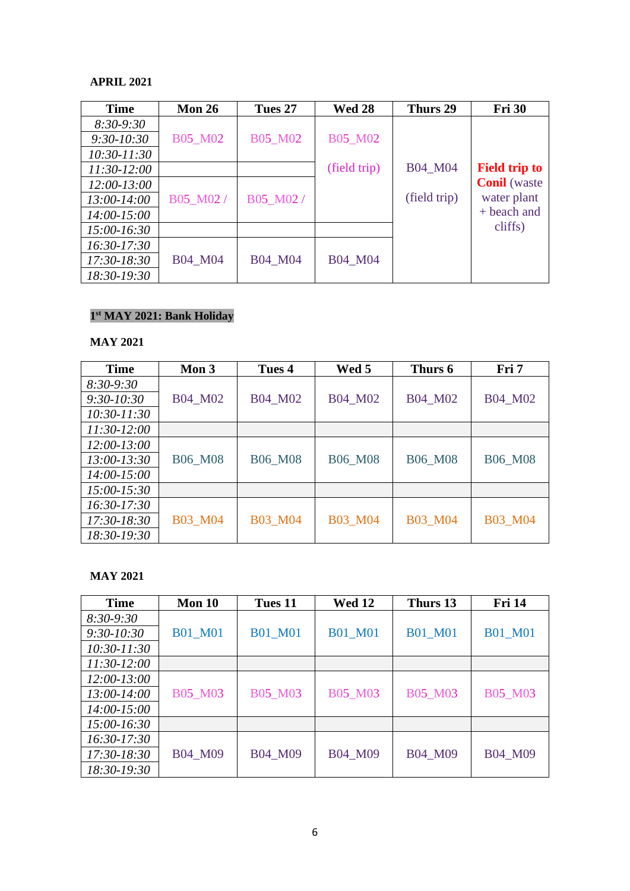#### **APRIL 2021**

| <b>Time</b>     | <b>Mon 26</b> | Tues 27        | <b>Wed 28</b> | Thurs 29     | <b>Fri 30</b>        |
|-----------------|---------------|----------------|---------------|--------------|----------------------|
| $8:30-9:30$     |               |                |               |              |                      |
| $9:30 - 10:30$  | B05 M02       | <b>B05 M02</b> | B05 M02       |              |                      |
| 10:30-11:30     |               |                |               |              |                      |
| 11:30-12:00     |               |                | (field trip)  | B04 M04      | <b>Field trip to</b> |
| $12:00 - 13:00$ |               |                |               |              | <b>Conil</b> (waste  |
| $13:00-14:00$   | B05_M02/      | B05_M02/       |               | (field trip) | water plant          |
| 14:00-15:00     |               |                |               |              | + beach and          |
| $15:00-16:30$   |               |                |               |              | cliffs)              |
| $16:30-17:30$   |               |                |               |              |                      |
| $17:30-18:30$   | B04 M04       | <b>B04 M04</b> | B04 M04       |              |                      |
| 18:30-19:30     |               |                |               |              |                      |

#### **1 st MAY 2021: Bank Holiday**

#### **MAY 2021**

| <b>Time</b>     | Mon 3          | Tues 4         | Wed 5          | Thurs 6        | Fri 7          |
|-----------------|----------------|----------------|----------------|----------------|----------------|
| $8:30-9:30$     |                |                |                |                |                |
| $9:30 - 10:30$  | B04 M02        | B04 M02        | B04 M02        | B04 M02        | <b>B04_M02</b> |
| $10:30 - 11:30$ |                |                |                |                |                |
| $11:30-12:00$   |                |                |                |                |                |
| $12:00-13:00$   |                |                |                |                |                |
| 13:00-13:30     | <b>B06 M08</b> | <b>B06 M08</b> | <b>B06 M08</b> | <b>B06 M08</b> | <b>B06 M08</b> |
| $14:00 - 15:00$ |                |                |                |                |                |
| $15:00 - 15:30$ |                |                |                |                |                |
| $16:30-17:30$   |                |                |                |                |                |
| $17:30-18:30$   | <b>B03 M04</b> | <b>B03 M04</b> | <b>B03 M04</b> | <b>B03 M04</b> | <b>B03 M04</b> |
| 18:30-19:30     |                |                |                |                |                |

## **MAY 2021**

| <b>Time</b>     | Mon 10         | Tues 11        | <b>Wed 12</b>  | Thurs 13       | <b>Fri 14</b>  |
|-----------------|----------------|----------------|----------------|----------------|----------------|
| $8:30-9:30$     |                |                |                |                |                |
| $9:30 - 10:30$  | <b>B01 M01</b> | <b>B01 M01</b> | <b>B01 M01</b> | <b>B01 M01</b> | <b>B01 M01</b> |
| $10:30 - 11:30$ |                |                |                |                |                |
| $11:30-12:00$   |                |                |                |                |                |
| $12:00 - 13:00$ |                |                |                |                |                |
| 13:00-14:00     | <b>B05_M03</b> | B05_M03        | <b>B05 M03</b> | <b>B05_M03</b> | <b>B05_M03</b> |
| $14:00-15:00$   |                |                |                |                |                |
| $15:00-16:30$   |                |                |                |                |                |
| $16:30-17:30$   |                |                |                |                |                |
| 17:30-18:30     | B04 M09        | B04 M09        | B04 M09        | B04 M09        | B04 M09        |
| 18:30-19:30     |                |                |                |                |                |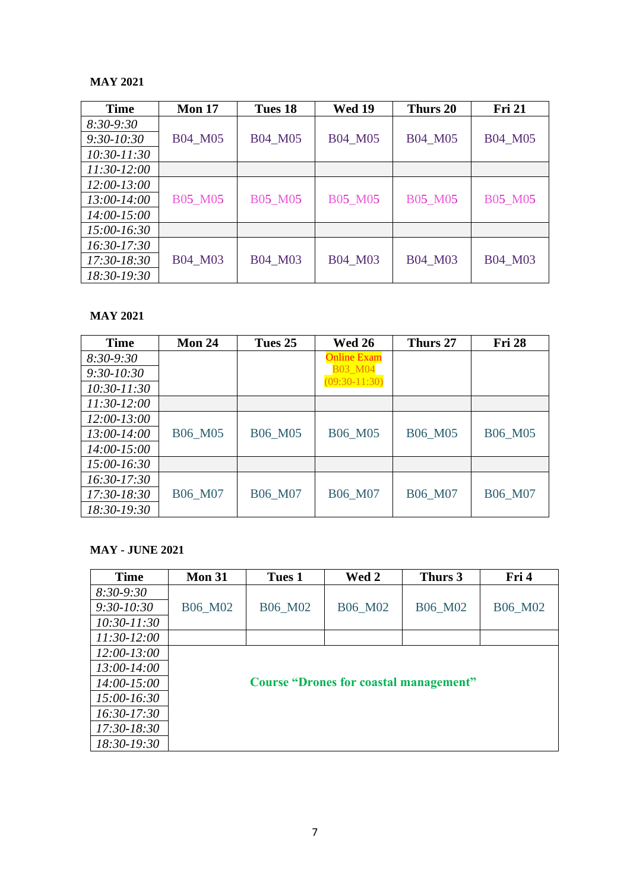#### **MAY 2021**

| <b>Time</b>     | <b>Mon 17</b>  | Tues 18        | <b>Wed 19</b>  | Thurs 20       | <b>Fri 21</b>  |
|-----------------|----------------|----------------|----------------|----------------|----------------|
| $8:30-9:30$     |                |                |                |                |                |
| $9:30-10:30$    | B04 M05        | B04 M05        | B04 M05        | B04 M05        | <b>B04 M05</b> |
| $10:30 - 11:30$ |                |                |                |                |                |
| $11:30-12:00$   |                |                |                |                |                |
| $12:00 - 13:00$ |                |                |                |                |                |
| 13:00-14:00     | <b>B05_M05</b> | <b>B05 M05</b> | <b>B05_M05</b> | <b>B05 M05</b> | <b>B05 M05</b> |
| $14:00 - 15:00$ |                |                |                |                |                |
| $15:00 - 16:30$ |                |                |                |                |                |
| $16:30-17:30$   |                |                |                |                |                |
| 17:30-18:30     | B04 M03        | B04 M03        | B04 M03        | B04 M03        | B04 M03        |
| 18:30-19:30     |                |                |                |                |                |

#### **MAY 2021**

| <b>Time</b>     | <b>Mon 24</b>  | Tues 25        | <b>Wed 26</b>      | Thurs 27       | <b>Fri 28</b>  |
|-----------------|----------------|----------------|--------------------|----------------|----------------|
| $8:30-9:30$     |                |                | <b>Online Exam</b> |                |                |
| $9:30 - 10:30$  |                |                | <b>B03 M04</b>     |                |                |
| $10:30 - 11:30$ |                |                | $(09:30-11:30)$    |                |                |
| $11:30-12:00$   |                |                |                    |                |                |
| $12:00-13:00$   |                |                |                    |                |                |
| 13:00-14:00     | B06 M05        | B06 M05        | B06 M05            | <b>B06 M05</b> | <b>B06 M05</b> |
| $14:00 - 15:00$ |                |                |                    |                |                |
| $15:00 - 16:30$ |                |                |                    |                |                |
| $16:30-17:30$   |                |                |                    |                |                |
| $17:30-18:30$   | <b>B06 M07</b> | <b>B06 M07</b> | <b>B06 M07</b>     | <b>B06 M07</b> | <b>B06 M07</b> |
| 18:30-19:30     |                |                |                    |                |                |

#### **MAY - JUNE 2021**

| <b>Time</b>     | <b>Mon 31</b> | Tues 1  | Wed 2                                         | Thurs 3 | Fri 4   |
|-----------------|---------------|---------|-----------------------------------------------|---------|---------|
| $8:30-9:30$     |               |         |                                               |         |         |
| $9:30-10:30$    | B06_M02       | B06_M02 | B06_M02                                       | B06_M02 | B06_M02 |
| $10:30 - 11:30$ |               |         |                                               |         |         |
| $11:30-12:00$   |               |         |                                               |         |         |
| $12:00-13:00$   |               |         |                                               |         |         |
| $13:00-14:00$   |               |         |                                               |         |         |
| $14:00-15:00$   |               |         | <b>Course "Drones for coastal management"</b> |         |         |
| $15:00-16:30$   |               |         |                                               |         |         |
| $16:30-17:30$   |               |         |                                               |         |         |
| 17:30-18:30     |               |         |                                               |         |         |
| 18:30-19:30     |               |         |                                               |         |         |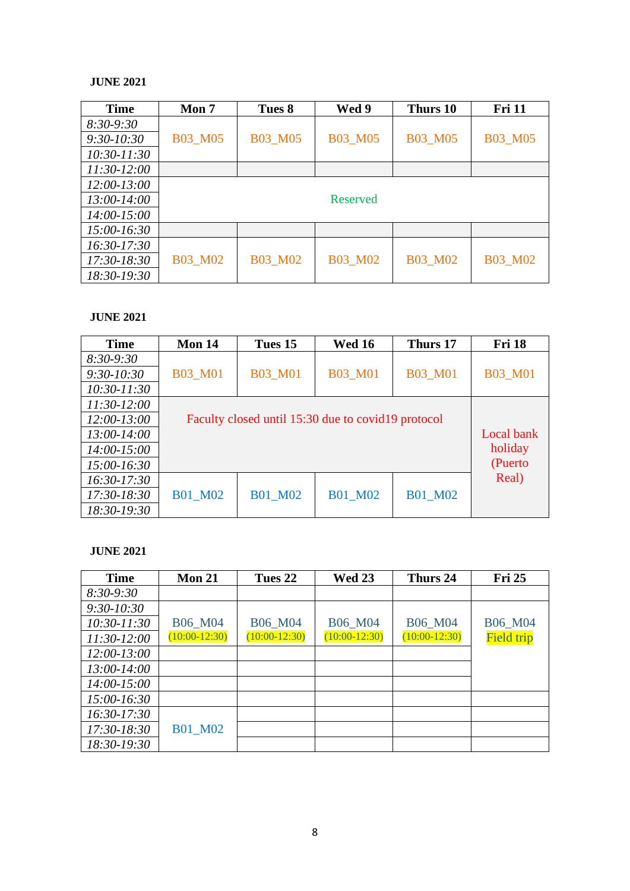#### **JUNE 2021**

| <b>Time</b>     | Mon <sub>7</sub> | Tues 8         | Wed 9          | Thurs 10       | <b>Fri 11</b>  |
|-----------------|------------------|----------------|----------------|----------------|----------------|
| $8:30-9:30$     |                  |                |                |                |                |
| $9:30 - 10:30$  | <b>B03_M05</b>   | <b>B03_M05</b> | <b>B03_M05</b> | <b>B03 M05</b> | <b>B03_M05</b> |
| $10:30 - 11:30$ |                  |                |                |                |                |
| $11:30-12:00$   |                  |                |                |                |                |
| $12:00 - 13:00$ |                  |                |                |                |                |
| 13:00-14:00     |                  |                | Reserved       |                |                |
| $14:00 - 15:00$ |                  |                |                |                |                |
| $15:00-16:30$   |                  |                |                |                |                |
| $16:30-17:30$   |                  |                |                |                |                |
| $17:30-18:30$   | <b>B03_M02</b>   | <b>B03_M02</b> | <b>B03_M02</b> | <b>B03 M02</b> | <b>B03 M02</b> |
| 18:30-19:30     |                  |                |                |                |                |

#### **JUNE 2021**

| <b>Time</b>     | Mon 14         | Tues 15                                             | <b>Wed 16</b>  | Thurs 17       | <b>Fri 18</b>  |
|-----------------|----------------|-----------------------------------------------------|----------------|----------------|----------------|
| $8:30-9:30$     |                |                                                     |                |                |                |
| $9:30-10:30$    | <b>B03_M01</b> | <b>B03 M01</b>                                      | <b>B03_M01</b> | <b>B03_M01</b> | <b>B03 M01</b> |
| $10:30 - 11:30$ |                |                                                     |                |                |                |
| $11:30-12:00$   |                |                                                     |                |                |                |
| $12:00 - 13:00$ |                | Faculty closed until 15:30 due to covid 19 protocol |                |                |                |
| $13:00 - 14:00$ |                |                                                     |                |                | Local bank     |
| $14:00 - 15:00$ |                |                                                     |                |                | holiday        |
| $15:00-16:30$   |                |                                                     |                |                | (Puerto        |
| $16:30-17:30$   |                |                                                     |                |                | Real)          |
| $17:30-18:30$   | <b>B01 M02</b> | <b>B01_M02</b>                                      | <b>B01 M02</b> | <b>B01 M02</b> |                |
| 18:30-19:30     |                |                                                     |                |                |                |

#### **JUNE 2021**

| <b>Time</b>     | <b>Mon 21</b>   | Tues 22         | <b>Wed 23</b>   | Thurs 24        | <b>Fri 25</b>     |
|-----------------|-----------------|-----------------|-----------------|-----------------|-------------------|
| $8:30-9:30$     |                 |                 |                 |                 |                   |
| $9:30-10:30$    |                 |                 |                 |                 |                   |
| $10:30 - 11:30$ | <b>B06 M04</b>  | <b>B06 M04</b>  | <b>B06 M04</b>  | <b>B06 M04</b>  | <b>B06 M04</b>    |
| $11:30-12:00$   | $(10:00-12:30)$ | $(10:00-12:30)$ | $(10:00-12:30)$ | $(10:00-12:30)$ | <b>Field trip</b> |
| $12:00 - 13:00$ |                 |                 |                 |                 |                   |
| $13:00 - 14:00$ |                 |                 |                 |                 |                   |
| 14:00-15:00     |                 |                 |                 |                 |                   |
| $15:00-16:30$   |                 |                 |                 |                 |                   |
| $16:30-17:30$   |                 |                 |                 |                 |                   |
| 17:30-18:30     | <b>B01 M02</b>  |                 |                 |                 |                   |
| 18:30-19:30     |                 |                 |                 |                 |                   |